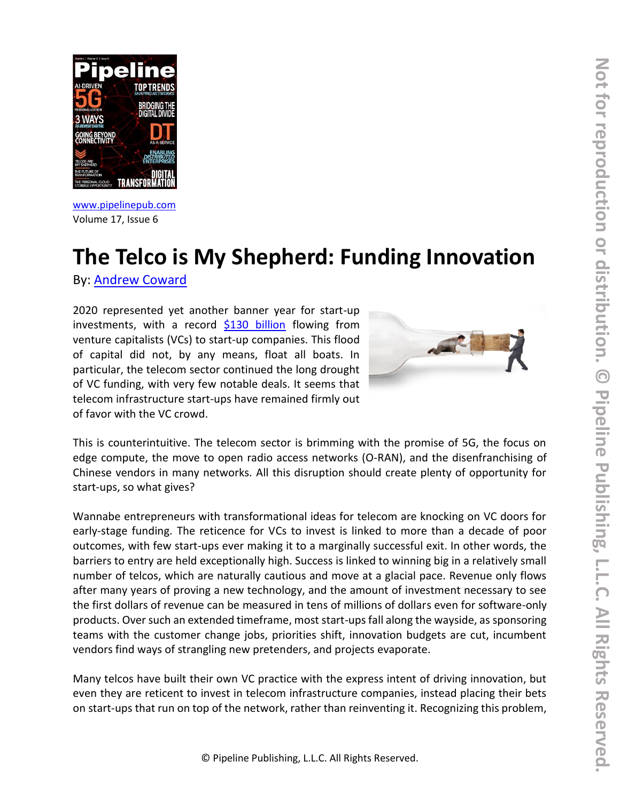

[www.pipelinepub.com](https://www.pipelinepub.com/240) Volume 17, Issue 6

# **The Telco is My Shepherd: Funding Innovation**

By: [Andrew Coward](https://pipeline.pubspoke.com/contributors?issue_preview=240#Andrew-Coward)

2020 represented yet another banner year for start-up investments, with a record [\\$130 billion](https://www.reuters.com/article/us-venture-capital-data/venture-capital-hits-record-high-in-u-s-in-2020-despite-pandemic-idUSKBN29D0IR) flowing from venture capitalists (VCs) to start-up companies. This flood of capital did not, by any means, float all boats. In particular, the telecom sector continued the long drought of VC funding, with very few notable deals. It seems that telecom infrastructure start-ups have remained firmly out of favor with the VC crowd.



This is counterintuitive. The telecom sector is brimming with the promise of 5G, the focus on edge compute, the move to open radio access networks (O-RAN), and the disenfranchising of Chinese vendors in many networks. All this disruption should create plenty of opportunity for start-ups, so what gives?

Wannabe entrepreneurs with transformational ideas for telecom are knocking on VC doors for early-stage funding. The reticence for VCs to invest is linked to more than a decade of poor outcomes, with few start-ups ever making it to a marginally successful exit. In other words, the barriers to entry are held exceptionally high. Success is linked to winning big in a relatively small number of telcos, which are naturally cautious and move at a glacial pace. Revenue only flows after many years of proving a new technology, and the amount of investment necessary to see the first dollars of revenue can be measured in tens of millions of dollars even for software-only products. Over such an extended timeframe, most start-ups fall along the wayside, as sponsoring teams with the customer change jobs, priorities shift, innovation budgets are cut, incumbent vendors find ways of strangling new pretenders, and projects evaporate.

Many telcos have built their own VC practice with the express intent of driving innovation, but even they are reticent to invest in telecom infrastructure companies, instead placing their bets on start-ups that run on top of the network, rather than reinventing it. Recognizing this problem,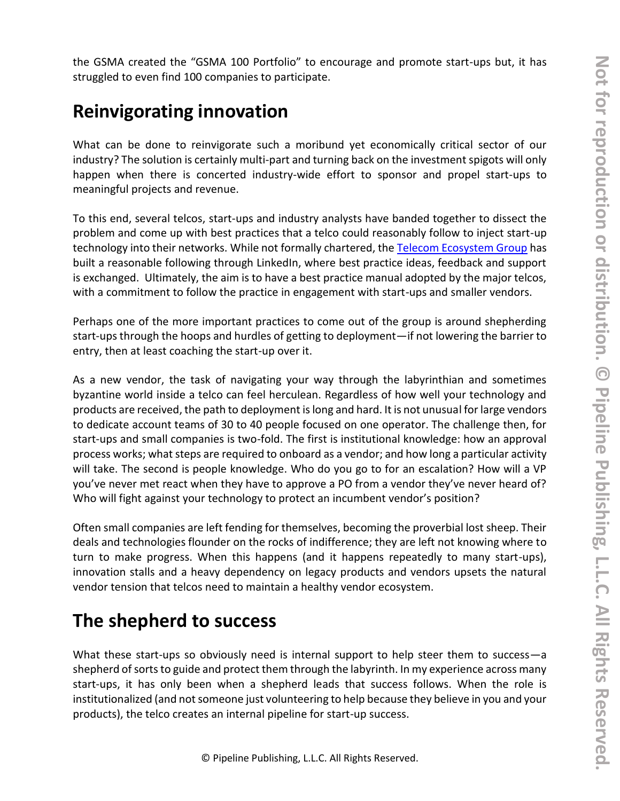the GSMA created the "GSMA 100 Portfolio" to encourage and promote start-ups but, it has struggled to even find 100 companies to participate.

## **Reinvigorating innovation**

What can be done to reinvigorate such a moribund yet economically critical sector of our industry? The solution is certainly multi-part and turning back on the investment spigots will only happen when there is concerted industry-wide effort to sponsor and propel start-ups to meaningful projects and revenue.

To this end, several telcos, start-ups and industry analysts have banded together to dissect the problem and come up with best practices that a telco could reasonably follow to inject start-up technology into their networks. While not formally chartered, the [Telecom Ecosystem Group](https://www.linkedin.com/company/telecom-ecosystem-group) has built a reasonable following through LinkedIn, where best practice ideas, feedback and support is exchanged. Ultimately, the aim is to have a best practice manual adopted by the major telcos, with a commitment to follow the practice in engagement with start-ups and smaller vendors.

Perhaps one of the more important practices to come out of the group is around shepherding start-ups through the hoops and hurdles of getting to deployment—if not lowering the barrier to entry, then at least coaching the start-up over it.

As a new vendor, the task of navigating your way through the labyrinthian and sometimes byzantine world inside a telco can feel herculean. Regardless of how well your technology and products are received, the path to deployment is long and hard. It is not unusual for large vendors to dedicate account teams of 30 to 40 people focused on one operator. The challenge then, for start-ups and small companies is two-fold. The first is institutional knowledge: how an approval process works; what steps are required to onboard as a vendor; and how long a particular activity will take. The second is people knowledge. Who do you go to for an escalation? How will a VP you've never met react when they have to approve a PO from a vendor they've never heard of? Who will fight against your technology to protect an incumbent vendor's position?

Often small companies are left fending for themselves, becoming the proverbial lost sheep. Their deals and technologies flounder on the rocks of indifference; they are left not knowing where to turn to make progress. When this happens (and it happens repeatedly to many start-ups), innovation stalls and a heavy dependency on legacy products and vendors upsets the natural vendor tension that telcos need to maintain a healthy vendor ecosystem.

### **The shepherd to success**

What these start-ups so obviously need is internal support to help steer them to success-a shepherd of sorts to guide and protect them through the labyrinth. In my experience across many start-ups, it has only been when a shepherd leads that success follows. When the role is institutionalized (and not someone just volunteering to help because they believe in you and your products), the telco creates an internal pipeline for start-up success.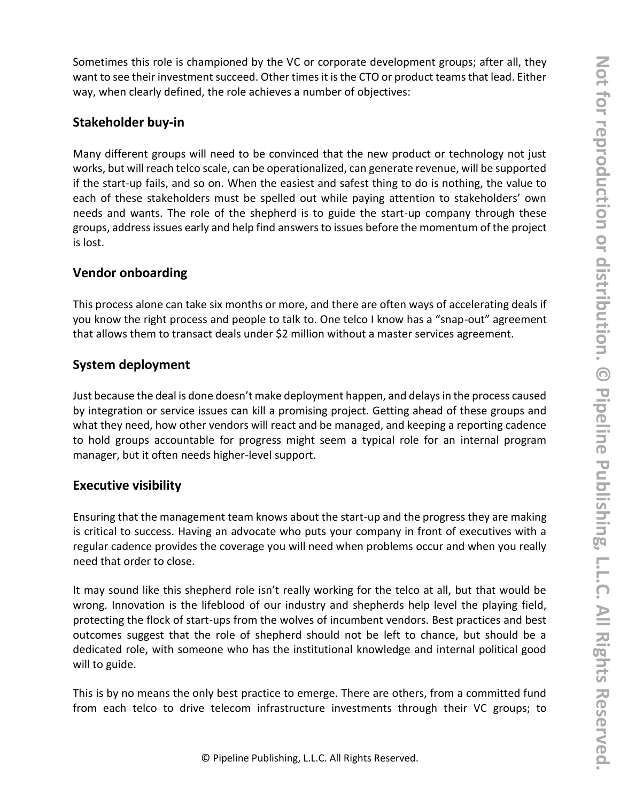Sometimes this role is championed by the VC or corporate development groups; after all, they want to see their investment succeed. Other times it is the CTO or product teams that lead. Either way, when clearly defined, the role achieves a number of objectives:

#### **Stakeholder buy-in**

Many different groups will need to be convinced that the new product or technology not just works, but will reach telco scale, can be operationalized, can generate revenue, will be supported if the start-up fails, and so on. When the easiest and safest thing to do is nothing, the value to each of these stakeholders must be spelled out while paying attention to stakeholders' own needs and wants. The role of the shepherd is to guide the start-up company through these groups, address issues early and help find answers to issues before the momentum of the project is lost.

#### **Vendor onboarding**

This process alone can take six months or more, and there are often ways of accelerating deals if you know the right process and people to talk to. One telco I know has a "snap-out" agreement that allows them to transact deals under \$2 million without a master services agreement.

#### **System deployment**

Just because the deal is done doesn't make deployment happen, and delays in the process caused by integration or service issues can kill a promising project. Getting ahead of these groups and what they need, how other vendors will react and be managed, and keeping a reporting cadence to hold groups accountable for progress might seem a typical role for an internal program manager, but it often needs higher-level support.

#### **Executive visibility**

Ensuring that the management team knows about the start-up and the progress they are making is critical to success. Having an advocate who puts your company in front of executives with a regular cadence provides the coverage you will need when problems occur and when you really need that order to close.

It may sound like this shepherd role isn't really working for the telco at all, but that would be wrong. Innovation is the lifeblood of our industry and shepherds help level the playing field, protecting the flock of start-ups from the wolves of incumbent vendors. Best practices and best outcomes suggest that the role of shepherd should not be left to chance, but should be a dedicated role, with someone who has the institutional knowledge and internal political good will to guide.

This is by no means the only best practice to emerge. There are others, from a committed fund from each telco to drive telecom infrastructure investments through their VC groups; to